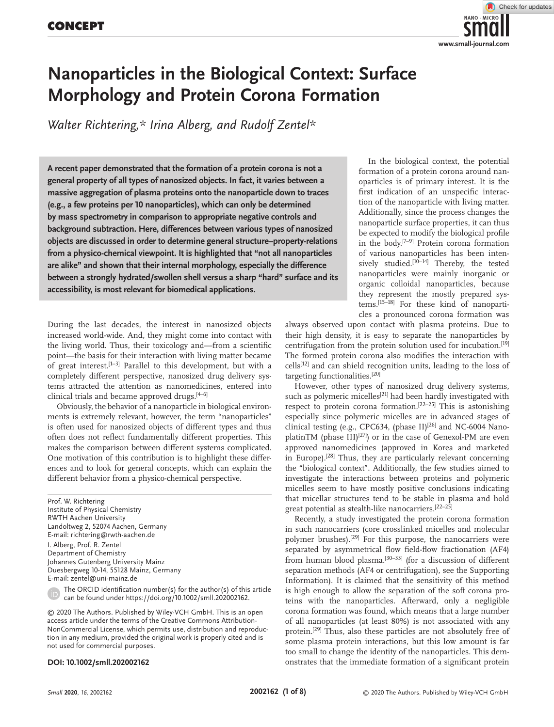# **Nanoparticles in the Biological Context: Surface Morphology and Protein Corona Formation**

*Walter Richtering,\* Irina Alberg, and Rudolf Zentel\**

**A recent paper demonstrated that the formation of a protein corona is not a general property of all types of nanosized objects. In fact, it varies between a massive aggregation of plasma proteins onto the nanoparticle down to traces (e.g., a few proteins per 10 nanoparticles), which can only be determined by mass spectrometry in comparison to appropriate negative controls and background subtraction. Here, differences between various types of nanosized objects are discussed in order to determine general structure–property-relations from a physico-chemical viewpoint. It is highlighted that "not all nanoparticles are alike" and shown that their internal morphology, especially the difference between a strongly hydrated/swollen shell versus a sharp "hard" surface and its accessibility, is most relevant for biomedical applications.**

During the last decades, the interest in nanosized objects increased world-wide. And, they might come into contact with the living world. Thus, their toxicology and—from a scientific point—the basis for their interaction with living matter became of great interest.<sup>[1–3]</sup> Parallel to this development, but with a completely different perspective, nanosized drug delivery systems attracted the attention as nanomedicines, entered into clinical trials and became approved drugs.[4–6]

Obviously, the behavior of a nanoparticle in biological environments is extremely relevant, however, the term "nanoparticles" is often used for nanosized objects of different types and thus often does not reflect fundamentally different properties. This makes the comparison between different systems complicated. One motivation of this contribution is to highlight these differences and to look for general concepts, which can explain the different behavior from a physico-chemical perspective.

Prof. W. Richtering Institute of Physical Chemistry RWTH Aachen University Landoltweg 2, 52074 Aachen, Germany E-mail: richtering@rwth-aachen.de I. Alberg, Prof. R. Zentel Department of Chemistry Johannes Gutenberg University Mainz Duesbergweg 10-14, 55128 Mainz, Germany E-mail: zentel@uni-mainz.de

The ORCID identification number(s) for the author(s) of this article can be found under https://doi.org/10.1002/smll.202002162.

© 2020 The Authors. Published by Wiley-VCH GmbH. This is an open access article under the terms of the [Creative Commons Attribution-](http://creativecommons.org/licenses/by-nc/4.0/)[NonCommercial](http://creativecommons.org/licenses/by-nc/4.0/) License, which permits use, distribution and reproduction in any medium, provided the original work is properly cited and is not used for commercial purposes.

#### **DOI: 10.1002/smll.202002162**

In the biological context, the potential formation of a protein corona around nanoparticles is of primary interest. It is the first indication of an unspecific interaction of the nanoparticle with living matter. Additionally, since the process changes the nanoparticle surface properties, it can thus be expected to modify the biological profile in the body.[7–9] Protein corona formation of various nanoparticles has been intensively studied.<sup>[10-14]</sup> Thereby, the tested nanoparticles were mainly inorganic or organic colloidal nanoparticles, because they represent the mostly prepared systems.[15–18] For these kind of nanoparticles a pronounced corona formation was

always observed upon contact with plasma proteins. Due to their high density, it is easy to separate the nanoparticles by centrifugation from the protein solution used for incubation.[19] The formed protein corona also modifies the interaction with cells<sup>[12]</sup> and can shield recognition units, leading to the loss of targeting functionalities.[20]

However, other types of nanosized drug delivery systems, such as polymeric micelles<sup>[21]</sup> had been hardly investigated with respect to protein corona formation.<sup>[22-25]</sup> This is astonishing especially since polymeric micelles are in advanced stages of clinical testing (e.g., CPC634, (phase II) $[26]$  and NC-6004 NanoplatinTM (phase III)<sup>[27]</sup>) or in the case of Genexol-PM are even approved nanomedicines (approved in Korea and marketed in Europe).<sup>[28]</sup> Thus, they are particularly relevant concerning the "biological context". Additionally, the few studies aimed to investigate the interactions between proteins and polymeric micelles seem to have mostly positive conclusions indicating that micellar structures tend to be stable in plasma and hold great potential as stealth-like nanocarriers.[22–25]

Recently, a study investigated the protein corona formation in such nanocarriers (core crosslinked micelles and molecular polymer brushes).<sup>[29]</sup> For this purpose, the nanocarriers were separated by asymmetrical flow field-flow fractionation (AF4) from human blood plasma.<sup>[30-33]</sup> (for a discussion of different separation methods (AF4 or centrifugation), see the Supporting Information). It is claimed that the sensitivity of this method is high enough to allow the separation of the soft corona proteins with the nanoparticles. Afterward, only a negligible corona formation was found, which means that a large number of all nanoparticles (at least 80%) is not associated with any protein.<sup>[29]</sup> Thus, also these particles are not absolutely free of some plasma protein interactions, but this low amount is far too small to change the identity of the nanoparticles. This demonstrates that the immediate formation of a significant protein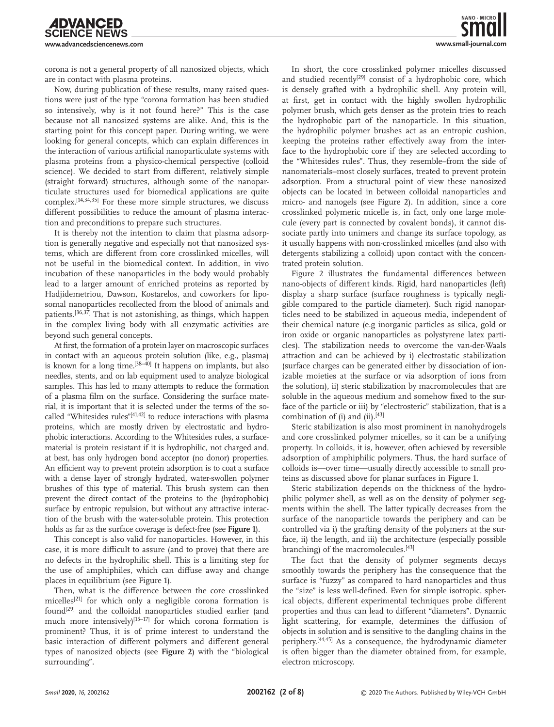corona is not a general property of all nanosized objects, which are in contact with plasma proteins.

**www.advancedsciencenews.com**

**IDVANCED IENCE NEWS** 

Now, during publication of these results, many raised questions were just of the type "corona formation has been studied so intensively, why is it not found here?" This is the case because not all nanosized systems are alike. And, this is the starting point for this concept paper. During writing, we were looking for general concepts, which can explain differences in the interaction of various artificial nanoparticulate systems with plasma proteins from a physico-chemical perspective (colloid science). We decided to start from different, relatively simple (straight forward) structures, although some of the nanoparticulate structures used for biomedical applications are quite complex.[14,34,35] For these more simple structures, we discuss different possibilities to reduce the amount of plasma interaction and preconditions to prepare such structures.

It is thereby not the intention to claim that plasma adsorption is generally negative and especially not that nanosized systems, which are different from core crosslinked micelles, will not be useful in the biomedical context. In addition, in vivo incubation of these nanoparticles in the body would probably lead to a larger amount of enriched proteins as reported by Hadjidemetriou, Dawson, Kostarelos, and coworkers for liposomal nanoparticles recollected from the blood of animals and patients.[36,37] That is not astonishing, as things, which happen in the complex living body with all enzymatic activities are beyond such general concepts.

At first, the formation of a protein layer on macroscopic surfaces in contact with an aqueous protein solution (like, e.g., plasma) is known for a long time.<sup>[38-40]</sup> It happens on implants, but also needles, stents, and on lab equipment used to analyze biological samples. This has led to many attempts to reduce the formation of a plasma film on the surface. Considering the surface material, it is important that it is selected under the terms of the socalled "Whitesides rules"<sup>[41,42]</sup> to reduce interactions with plasma proteins, which are mostly driven by electrostatic and hydrophobic interactions. According to the Whitesides rules, a surfacematerial is protein resistant if it is hydrophilic, not charged and, at best, has only hydrogen bond acceptor (no donor) properties. An efficient way to prevent protein adsorption is to coat a surface with a dense layer of strongly hydrated, water-swollen polymer brushes of this type of material. This brush system can then prevent the direct contact of the proteins to the (hydrophobic) surface by entropic repulsion, but without any attractive interaction of the brush with the water-soluble protein. This protection holds as far as the surface coverage is defect-free (see **Figure 1**).

This concept is also valid for nanoparticles. However, in this case, it is more difficult to assure (and to prove) that there are no defects in the hydrophilic shell. This is a limiting step for the use of amphiphiles, which can diffuse away and change places in equilibrium (see Figure 1).

Then, what is the difference between the core crosslinked micelles<sup>[21]</sup> for which only a negligible corona formation is found<sup>[29]</sup> and the colloidal nanoparticles studied earlier (and much more intensively)<sup>[15-17]</sup> for which corona formation is prominent? Thus, it is of prime interest to understand the basic interaction of different polymers and different general types of nanosized objects (see **Figure 2**) with the "biological surrounding".

In short, the core crosslinked polymer micelles discussed and studied recently<sup>[29]</sup> consist of a hydrophobic core, which is densely grafted with a hydrophilic shell. Any protein will, at first, get in contact with the highly swollen hydrophilic polymer brush, which gets denser as the protein tries to reach the hydrophobic part of the nanoparticle. In this situation, the hydrophilic polymer brushes act as an entropic cushion, keeping the proteins rather effectively away from the interface to the hydrophobic core if they are selected according to the "Whitesides rules". Thus, they resemble–from the side of nanomaterials–most closely surfaces, treated to prevent protein adsorption. From a structural point of view these nanosized objects can be located in between colloidal nanoparticles and micro- and nanogels (see Figure 2). In addition, since a core crosslinked polymeric micelle is, in fact, only one large molecule (every part is connected by covalent bonds), it cannot dissociate partly into unimers and change its surface topology, as it usually happens with non-crosslinked micelles (and also with detergents stabilizing a colloid) upon contact with the concentrated protein solution.

Figure 2 illustrates the fundamental differences between nano-objects of different kinds. Rigid, hard nanoparticles (left) display a sharp surface (surface roughness is typically negligible compared to the particle diameter). Such rigid nanoparticles need to be stabilized in aqueous media, independent of their chemical nature (e.g inorganic particles as silica, gold or iron oxide or organic nanoparticles as polystyrene latex particles). The stabilization needs to overcome the van-der-Waals attraction and can be achieved by i) electrostatic stabilization (surface charges can be generated either by dissociation of ionizable moieties at the surface or via adsorption of ions from the solution), ii) steric stabilization by macromolecules that are soluble in the aqueous medium and somehow fixed to the surface of the particle or iii) by "electrosteric" stabilization, that is a combination of (i) and (ii). $[43]$ 

Steric stabilization is also most prominent in nanohydrogels and core crosslinked polymer micelles, so it can be a unifying property. In colloids, it is, however, often achieved by reversible adsorption of amphiphilic polymers. Thus, the hard surface of colloids is—over time—usually directly accessible to small proteins as discussed above for planar surfaces in Figure 1.

Steric stabilization depends on the thickness of the hydrophilic polymer shell, as well as on the density of polymer segments within the shell. The latter typically decreases from the surface of the nanoparticle towards the periphery and can be controlled via i) the grafting density of the polymers at the surface, ii) the length, and iii) the architecture (especially possible branching) of the macromolecules.[43]

The fact that the density of polymer segments decays smoothly towards the periphery has the consequence that the surface is "fuzzy" as compared to hard nanoparticles and thus the "size" is less well-defined. Even for simple isotropic, spherical objects, different experimental techniques probe different properties and thus can lead to different "diameters". Dynamic light scattering, for example, determines the diffusion of objects in solution and is sensitive to the dangling chains in the periphery.<sup>[44,45]</sup> As a consequence, the hydrodynamic diameter is often bigger than the diameter obtained from, for example, electron microscopy.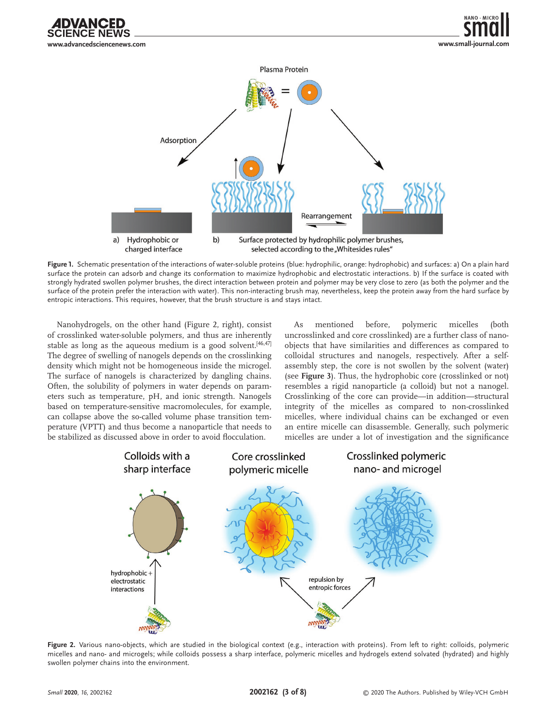

**Figure** 1. Schematic presentation of the interactions of water-soluble proteins (blue: hydrophilic, orange: hydrophobic) and surfaces: a) On a plain hard surface the protein can adsorb and change its conformation to maximize hydrophobic and electrostatic interactions. b) If the surface is coated with strongly hydrated swollen polymer brushes, the direct interaction between protein and polymer may be very close to zero (as both the polymer and the surface of the protein prefer the interaction with water). This non-interacting brush may, nevertheless, keep the protein away from the hard surface by entropic interactions. This requires, however, that the brush structure is and stays intact.

Nanohydrogels, on the other hand (Figure 2, right), consist of crosslinked water-soluble polymers, and thus are inherently stable as long as the aqueous medium is a good solvent. $[46,47]$ The degree of swelling of nanogels depends on the crosslinking density which might not be homogeneous inside the microgel. The surface of nanogels is characterized by dangling chains. Often, the solubility of polymers in water depends on parameters such as temperature, pH, and ionic strength. Nanogels based on temperature-sensitive macromolecules, for example, can collapse above the so-called volume phase transition temperature (VPTT) and thus become a nanoparticle that needs to be stabilized as discussed above in order to avoid flocculation.

As mentioned before, polymeric micelles (both uncrosslinked and core crosslinked) are a further class of nanoobjects that have similarities and differences as compared to colloidal structures and nanogels, respectively. After a selfassembly step, the core is not swollen by the solvent (water) (see **Figure 3**). Thus, the hydrophobic core (crosslinked or not) resembles a rigid nanoparticle (a colloid) but not a nanogel. Crosslinking of the core can provide—in addition—structural integrity of the micelles as compared to non-crosslinked micelles, where individual chains can be exchanged or even an entire micelle can disassemble. Generally, such polymeric micelles are under a lot of investigation and the significance



**Figure 2.** Various nano-objects, which are studied in the biological context (e.g., interaction with proteins). From left to right: colloids, polymeric micelles and nano- and microgels; while colloids possess a sharp interface, polymeric micelles and hydrogels extend solvated (hydrated) and highly swollen polymer chains into the environment.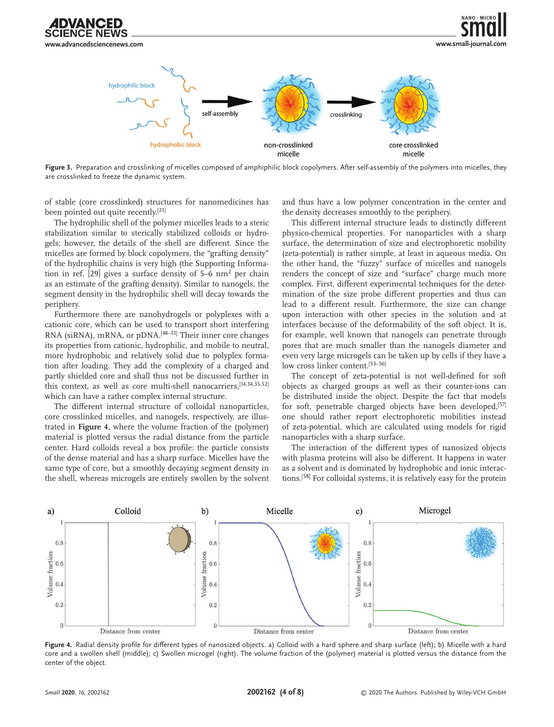



**Figure 3.** Preparation and crosslinking of micelles composed of amphiphilic block copolymers. After self-assembly of the polymers into micelles, they are crosslinked to freeze the dynamic system.

of stable (core crosslinked) structures for nanomedicines has been pointed out quite recently.<sup>[21]</sup>

The hydrophilic shell of the polymer micelles leads to a steric stabilization similar to sterically stabilized colloids or hydrogels; however, the details of the shell are different. Since the micelles are formed by block copolymers, the "grafting density" of the hydrophilic chains is very high (the Supporting Information in ref. [29] gives a surface density of  $5-6$  nm<sup>2</sup> per chain as an estimate of the grafting density). Similar to nanogels, the segment density in the hydrophilic shell will decay towards the periphery.

Furthermore there are nanohydrogels or polyplexes with a cationic core, which can be used to transport short interfering RNA (siRNA), mRNA, or pDNA.<sup>[48-51]</sup> Their inner core changes its properties from cationic, hydrophilic, and mobile to neutral, more hydrophobic and relatively solid due to polyplex formation after loading. They add the complexity of a charged and partly shielded core and shall thus not be discussed further in this context, as well as core multi-shell nanocarriers, [14,34,35,52] which can have a rather complex internal structure.

The different internal structure of colloidal nanoparticles, core crosslinked micelles, and nanogels, respectively, are illustrated in **Figure 4**, where the volume fraction of the (polymer) material is plotted versus the radial distance from the particle center. Hard colloids reveal a box profile: the particle consists of the dense material and has a sharp surface. Micelles have the same type of core, but a smoothly decaying segment density in the shell, whereas microgels are entirely swollen by the solvent and thus have a low polymer concentration in the center and the density decreases smoothly to the periphery.

**www.small-journal.com**

This different internal structure leads to distinctly different physico-chemical properties. For nanoparticles with a sharp surface, the determination of size and electrophoretic mobility (zeta-potential) is rather simple, at least in aqueous media. On the other hand, the "fuzzy" surface of micelles and nanogels renders the concept of size and "surface" charge much more complex. First, different experimental techniques for the determination of the size probe different properties and thus can lead to a different result. Furthermore, the size can change upon interaction with other species in the solution and at interfaces because of the deformability of the soft object. It is, for example, well known that nanogels can penetrate through pores that are much smaller than the nanogels diameter and even very large microgels can be taken up by cells if they have a low cross linker content.<sup>[53-56]</sup>

The concept of zeta-potential is not well-defined for soft objects as charged groups as well as their counter-ions can be distributed inside the object. Despite the fact that models for soft, penetrable charged objects have been developed,<sup>[57]</sup> one should rather report electrophoretic mobilities instead of zeta-potential, which are calculated using models for rigid nanoparticles with a sharp surface.

The interaction of the different types of nanosized objects with plasma proteins will also be different. It happens in water as a solvent and is dominated by hydrophobic and ionic interactions.<sup>[58]</sup> For colloidal systems, it is relatively easy for the protein



**Figure 4.** Radial density profile for different types of nanosized objects. a) Colloid with a hard sphere and sharp surface (left); b) Micelle with a hard core and a swollen shell (middle); c) Swollen microgel (right). The volume fraction of the (polymer) material is plotted versus the distance from the center of the object.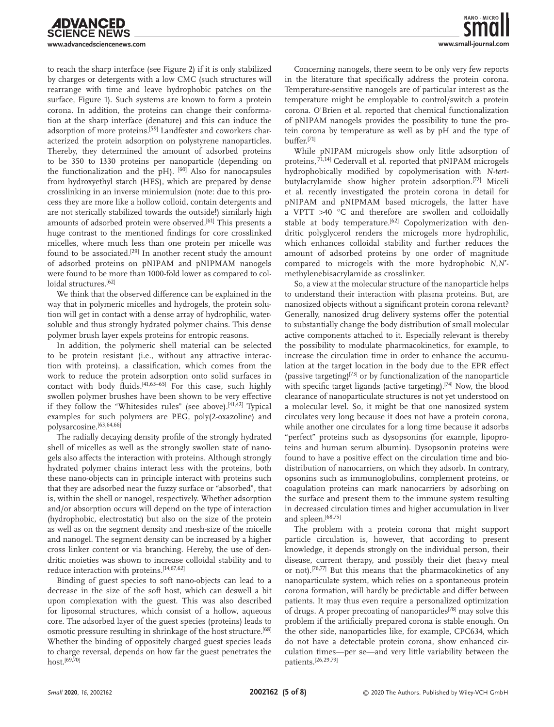to reach the sharp interface (see Figure 2) if it is only stabilized by charges or detergents with a low CMC (such structures will rearrange with time and leave hydrophobic patches on the surface, Figure 1). Such systems are known to form a protein corona. In addition, the proteins can change their conformation at the sharp interface (denature) and this can induce the adsorption of more proteins.<sup>[59]</sup> Landfester and coworkers characterized the protein adsorption on polystyrene nanoparticles. Thereby, they determined the amount of adsorbed proteins to be 350 to 1330 proteins per nanoparticle (depending on the functionalization and the pH). [60] Also for nanocapsules from hydroxyethyl starch (HES), which are prepared by dense crosslinking in an inverse miniemulsion (note: due to this process they are more like a hollow colloid, contain detergents and are not sterically stabilized towards the outside!) similarly high amounts of adsorbed protein were observed.<sup>[61]</sup> This presents a huge contrast to the mentioned findings for core crosslinked micelles, where much less than one protein per micelle was found to be associated.<sup>[29]</sup> In another recent study the amount of adsorbed proteins on pNIPAM and pNIPMAM nanogels were found to be more than 1000-fold lower as compared to colloidal structures.<sup>[62]</sup>

**www.advancedsciencenews.com**

IDVANCED **ENCE NEWS** 

We think that the observed difference can be explained in the way that in polymeric micelles and hydrogels, the protein solution will get in contact with a dense array of hydrophilic, watersoluble and thus strongly hydrated polymer chains. This dense polymer brush layer expels proteins for entropic reasons.

In addition, the polymeric shell material can be selected to be protein resistant (i.e., without any attractive interaction with proteins), a classification, which comes from the work to reduce the protein adsorption onto solid surfaces in contact with body fluids.<sup>[41,63-65]</sup> For this case, such highly swollen polymer brushes have been shown to be very effective if they follow the "Whitesides rules" (see above).<sup>[41,42]</sup> Typical examples for such polymers are PEG, poly(2-oxazoline) and polysarcosine.[63,64,66]

The radially decaying density profile of the strongly hydrated shell of micelles as well as the strongly swollen state of nanogels also affects the interaction with proteins. Although strongly hydrated polymer chains interact less with the proteins, both these nano-objects can in principle interact with proteins such that they are adsorbed near the fuzzy surface or "absorbed", that is, within the shell or nanogel, respectively. Whether adsorption and/or absorption occurs will depend on the type of interaction (hydrophobic, electrostatic) but also on the size of the protein as well as on the segment density and mesh-size of the micelle and nanogel. The segment density can be increased by a higher cross linker content or via branching. Hereby, the use of dendritic moieties was shown to increase colloidal stability and to reduce interaction with proteins.<sup>[14,67,62]</sup>

Binding of guest species to soft nano-objects can lead to a decrease in the size of the soft host, which can deswell a bit upon complexation with the guest. This was also described for liposomal structures, which consist of a hollow, aqueous core. The adsorbed layer of the guest species (proteins) leads to osmotic pressure resulting in shrinkage of the host structure.[68] Whether the binding of oppositely charged guest species leads to charge reversal, depends on how far the guest penetrates the host.[69,70]

Concerning nanogels, there seem to be only very few reports in the literature that specifically address the protein corona. Temperature-sensitive nanogels are of particular interest as the temperature might be employable to control/switch a protein corona. O'Brien et al. reported that chemical functionalization of pNIPAM nanogels provides the possibility to tune the protein corona by temperature as well as by pH and the type of buffer.[71]

While pNIPAM microgels show only little adsorption of proteins,<sup>[71,14]</sup> Cedervall et al. reported that pNIPAM microgels hydrophobically modified by copolymerisation with *N-tert*butylacrylamide show higher protein adsorption.<sup>[72]</sup> Miceli et al. recently investigated the protein corona in detail for pNIPAM and pNIPMAM based microgels, the latter have a VPTT >40 °C and therefore are swollen and colloidally stable at body temperature.<sup>[62]</sup> Copolymerization with dendritic polyglycerol renders the microgels more hydrophilic, which enhances colloidal stability and further reduces the amount of adsorbed proteins by one order of magnitude compared to microgels with the more hydrophobic *N*,*N*′ methylenebisacrylamide as crosslinker.

So, a view at the molecular structure of the nanoparticle helps to understand their interaction with plasma proteins. But, are nanosized objects without a significant protein corona relevant? Generally, nanosized drug delivery systems offer the potential to substantially change the body distribution of small molecular active components attached to it. Especially relevant is thereby the possibility to modulate pharmacokinetics, for example, to increase the circulation time in order to enhance the accumulation at the target location in the body due to the EPR effect (passive targeting)[73] or by functionalization of the nanoparticle with specific target ligands (active targeting).<sup>[74]</sup> Now, the blood clearance of nanoparticulate structures is not yet understood on a molecular level. So, it might be that one nanosized system circulates very long because it does not have a protein corona, while another one circulates for a long time because it adsorbs "perfect" proteins such as dysopsonins (for example, lipoproteins and human serum albumin). Dysopsonin proteins were found to have a positive effect on the circulation time and biodistribution of nanocarriers, on which they adsorb. In contrary, opsonins such as immunoglobulins, complement proteins, or coagulation proteins can mark nanocarriers by adsorbing on the surface and present them to the immune system resulting in decreased circulation times and higher accumulation in liver and spleen.[68,75]

The problem with a protein corona that might support particle circulation is, however, that according to present knowledge, it depends strongly on the individual person, their disease, current therapy, and possibly their diet (heavy meal or not).<sup>[76,77]</sup> But this means that the pharmacokinetics of any nanoparticulate system, which relies on a spontaneous protein corona formation, will hardly be predictable and differ between patients. It may thus even require a personalized optimization of drugs. A proper precoating of nanoparticles<sup>[78]</sup> may solve this problem if the artificially prepared corona is stable enough. On the other side, nanoparticles like, for example, CPC634, which do not have a detectable protein corona, show enhanced circulation times—per se—and very little variability between the patients.[26,29,79]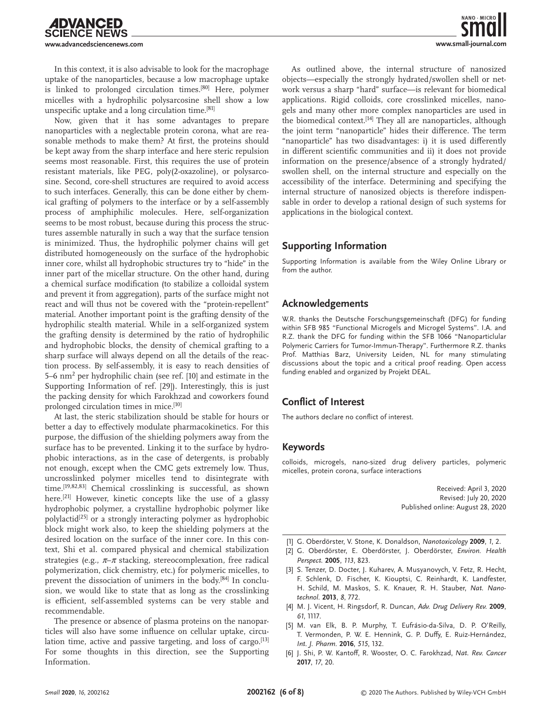In this context, it is also advisable to look for the macrophage uptake of the nanoparticles, because a low macrophage uptake is linked to prolonged circulation times.<sup>[80]</sup> Here, polymer micelles with a hydrophilic polysarcosine shell show a low unspecific uptake and a long circulation time.[81]

Now, given that it has some advantages to prepare nanoparticles with a neglectable protein corona, what are reasonable methods to make them? At first, the proteins should be kept away from the sharp interface and here steric repulsion seems most reasonable. First, this requires the use of protein resistant materials, like PEG, poly(2-oxazoline), or polysarcosine. Second, core-shell structures are required to avoid access to such interfaces. Generally, this can be done either by chemical grafting of polymers to the interface or by a self-assembly process of amphiphilic molecules. Here, self-organization seems to be most robust, because during this process the structures assemble naturally in such a way that the surface tension is minimized. Thus, the hydrophilic polymer chains will get distributed homogeneously on the surface of the hydrophobic inner core, whilst all hydrophobic structures try to "hide" in the inner part of the micellar structure. On the other hand, during a chemical surface modification (to stabilize a colloidal system and prevent it from aggregation), parts of the surface might not react and will thus not be covered with the "protein-repellent" material. Another important point is the grafting density of the hydrophilic stealth material. While in a self-organized system the grafting density is determined by the ratio of hydrophilic and hydrophobic blocks, the density of chemical grafting to a sharp surface will always depend on all the details of the reaction process. By self-assembly, it is easy to reach densities of 5–6 nm2 per hydrophilic chain (see ref. [10] and estimate in the Supporting Information of ref. [29]). Interestingly, this is just the packing density for which Farokhzad and coworkers found prolonged circulation times in mice.[10]

At last, the steric stabilization should be stable for hours or better a day to effectively modulate pharmacokinetics. For this purpose, the diffusion of the shielding polymers away from the surface has to be prevented. Linking it to the surface by hydrophobic interactions, as in the case of detergents, is probably not enough, except when the CMC gets extremely low. Thus, uncrosslinked polymer micelles tend to disintegrate with time.<sup>[19,82,83]</sup> Chemical crosslinking is successful, as shown here.<sup>[21]</sup> However, kinetic concepts like the use of a glassy hydrophobic polymer, a crystalline hydrophobic polymer like polylactid<sup>[25]</sup> or a strongly interacting polymer as hydrophobic block might work also, to keep the shielding polymers at the desired location on the surface of the inner core. In this context, Shi et al. compared physical and chemical stabilization strategies (e.g.,  $\pi-\pi$  stacking, stereocomplexation, free radical polymerization, click chemistry, etc.) for polymeric micelles, to prevent the dissociation of unimers in the body.<sup>[84]</sup> In conclusion, we would like to state that as long as the crosslinking is efficient, self-assembled systems can be very stable and recommendable.

The presence or absence of plasma proteins on the nanoparticles will also have some influence on cellular uptake, circulation time, active and passive targeting, and loss of cargo. $[13]$ For some thoughts in this direction, see the Supporting Information.

As outlined above, the internal structure of nanosized objects—especially the strongly hydrated/swollen shell or network versus a sharp "hard" surface—is relevant for biomedical applications. Rigid colloids, core crosslinked micelles, nanogels and many other more complex nanoparticles are used in the biomedical context.<sup>[14]</sup> They all are nanoparticles, although the joint term "nanoparticle" hides their difference. The term "nanoparticle" has two disadvantages: i) it is used differently in different scientific communities and ii) it does not provide information on the presence/absence of a strongly hydrated/ swollen shell, on the internal structure and especially on the accessibility of the interface. Determining and specifying the internal structure of nanosized objects is therefore indispensable in order to develop a rational design of such systems for applications in the biological context.

# **Supporting Information**

Supporting Information is available from the Wiley Online Library or from the author.

## **Acknowledgements**

W.R. thanks the Deutsche Forschungsgemeinschaft (DFG) for funding within SFB 985 "Functional Microgels and Microgel Systems". I.A. and R.Z. thank the DFG for funding within the SFB 1066 "Nanoparticlular Polymeric Carriers for Tumor-Immun-Therapy". Furthermore R.Z. thanks Prof. Matthias Barz, University Leiden, NL for many stimulating discussions about the topic and a critical proof reading. Open access funding enabled and organized by Projekt DEAL.

## **Conflict of Interest**

The authors declare no conflict of interest.

## **Keywords**

colloids, microgels, nano-sized drug delivery particles, polymeric micelles, protein corona, surface interactions

> Received: April 3, 2020 Revised: July 20, 2020 Published online: August 28, 2020

- [2] G. Oberdörster, E. Oberdörster, J. Oberdörster, *Environ. Health Perspect.* **2005**, *113*, 823.
- [3] S. Tenzer, D. Docter, J. Kuharev, A. Musyanovych, V. Fetz, R. Hecht, F. Schlenk, D. Fischer, K. Kiouptsi, C. Reinhardt, K. Landfester, H. Schild, M. Maskos, S. K. Knauer, R. H. Stauber, *Nat. Nanotechnol.* **2013**, *8*, 772.
- [4] M. J. Vicent, H. Ringsdorf, R. Duncan, *Adv. Drug Delivery Rev.* **2009**, *61*, 1117.
- [5] M. van Elk, B. P. Murphy, T. Eufrásio-da-Silva, D. P. O'Reilly, T. Vermonden, P. W. E. Hennink, G. P. Duffy, E. Ruiz-Hernández, *Int. J. Pharm.* **2016**, *515*, 132.
- [6] J. Shi, P. W. Kantoff, R. Wooster, O. C. Farokhzad, *Nat. Rev. Cancer* **2017**, *17*, 20.

<sup>[1]</sup> G. Oberdörster, V. Stone, K. Donaldson, *Nanotoxicology* **2009**, *1*, 2.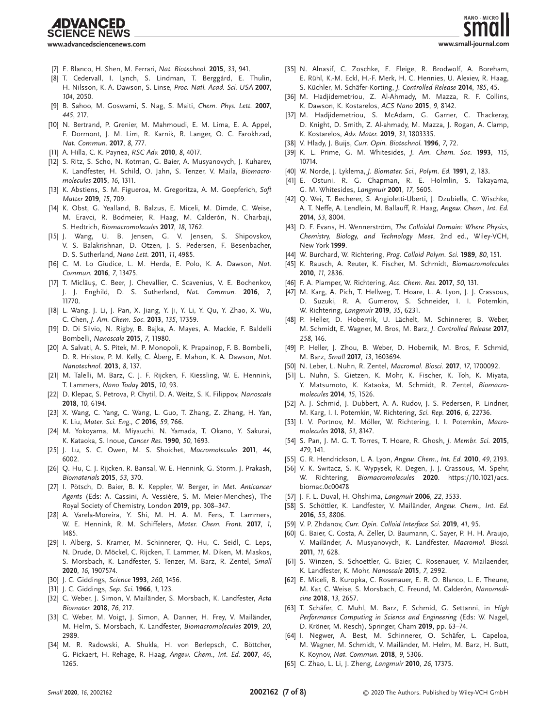#### **1DVANCED IENCE NEWS**

**www.advancedsciencenews.com**

- [7] E. Blanco, H. Shen, M. Ferrari, *Nat. Biotechnol.* **2015**, *33*, 941.
- [8] T. Cedervall, I. Lynch, S. Lindman, T. Berggård, E. Thulin, H. Nilsson, K. A. Dawson, S. Linse, *Proc. Natl. Acad. Sci. USA* **2007**, *104*, 2050.
- [9] B. Sahoo, M. Goswami, S. Nag, S. Maiti, *Chem. Phys. Lett.* **2007**, *445*, 217.
- [10] N. Bertrand, P. Grenier, M. Mahmoudi, E. M. Lima, E. A. Appel, F. Dormont, J. M. Lim, R. Karnik, R. Langer, O. C. Farokhzad, *Nat. Commun.* **2017**, *8*, 777.
- [11] A. Hilla, C. K. Paynea, *RSC Adv.* **2010**, *8*, 4017.
- [12] S. Ritz, S. Scho, N. Kotman, G. Baier, A. Musyanovych, J. Kuharev, K. Landfester, H. Schild, O. Jahn, S. Tenzer, V. Maila, *Biomacromolecules* **2015**, *16*, 1311.
- [13] K. Abstiens, S. M. Figueroa, M. Gregoritza, A. M. Goepferich, *Soft Matter* **2019**, *15*, 709.
- [14] K. Obst, G. Yealland, B. Balzus, E. Miceli, M. Dimde, C. Weise, M. Eravci, R. Bodmeier, R. Haag, M. Calderón, N. Charbaji, S. Hedtrich, *Biomacromolecules* **2017**, *18*, 1762.
- [15] J. Wang, U. B. Jensen, G. V. Jensen, S. Shipovskov, V. S. Balakrishnan, D. Otzen, J. S. Pedersen, F. Besenbacher, D. S. Sutherland, *Nano Lett.* **2011**, *11*, 4985.
- [16] C. M. Lo Giudice, L. M. Herda, E. Polo, K. A. Dawson, *Nat. Commun.* **2016**, *7*, 13475.
- [17] T. Miclăuş, C. Beer, J. Chevallier, C. Scavenius, V. E. Bochenkov, J. J. Enghild, D. S. Sutherland, *Nat. Commun.* **2016**, *7*, 11770.
- [18] L. Wang, J. Li, J. Pan, X. Jiang, Y. Ji, Y. Li, Y. Qu, Y. Zhao, X. Wu, C. Chen, *J. Am. Chem. Soc.* **2013**, *135*, 17359.
- [19] D. Di Silvio, N. Rigby, B. Bajka, A. Mayes, A. Mackie, F. Baldelli Bombelli, *Nanoscale* **2015**, *7*, 11980.
- [20] A. Salvati, A. S. Pitek, M. P. Monopoli, K. Prapainop, F. B. Bombelli, D. R. Hristov, P. M. Kelly, C. Åberg, E. Mahon, K. A. Dawson, *Nat. Nanotechnol.* **2013**, *8*, 137.
- [21] M. Talelli, M. Barz, C. J. F. Rijcken, F. Kiessling, W. E. Hennink, T. Lammers, *Nano Today* **2015**, *10*, 93.
- [22] D. Klepac, S. Petrova, P. Chytil, D. A. Weitz, S. K. Filippov, *Nanoscale* **2018**, *10*, 6194.
- [23] X. Wang, C. Yang, C. Wang, L. Guo, T. Zhang, Z. Zhang, H. Yan, K. Liu, *Mater. Sci. Eng., C* **2016**, *59*, 766.
- [24] M. Yokoyama, M. Miyauchi, N. Yamada, T. Okano, Y. Sakurai, K. Kataoka, S. Inoue, *Cancer Res.* **1990**, *50*, 1693.
- [25] J. Lu, S. C. Owen, M. S. Shoichet, *Macromolecules* **2011**, *44*, 6002.
- [26] Q. Hu, C. J. Rijcken, R. Bansal, W. E. Hennink, G. Storm, J. Prakash, *Biomaterials* **2015**, *53*, 370.
- [27] I. Pötsch, D. Baier, B. K. Keppler, W. Berger, in *Met. Anticancer Agents* (Eds: A. Cassini, A. Vessière, S. M. Meier-Menches), The Royal Society of Chemistry, London **2019**, pp. 308–347.
- [28] A. Varela-Moreira, Y. Shi, M. H. A. M. Fens, T. Lammers, W. E. Hennink, R. M. Schiffelers, *Mater. Chem. Front.* **2017**, *1*, 1485.
- [29] I. Alberg, S. Kramer, M. Schinnerer, Q. Hu, C. Seidl, C. Leps, N. Drude, D. Möckel, C. Rijcken, T. Lammer, M. Diken, M. Maskos, S. Morsbach, K. Landfester, S. Tenzer, M. Barz, R. Zentel, *Small* **2020**, *16*, 1907574.
- [30] J. C. Giddings, *Science* **1993**, *260*, 1456.
- [31] J. C. Giddings, *Sep. Sci.* **1966**, *1*, 123.
- [32] C. Weber, J. Simon, V. Mailänder, S. Morsbach, K. Landfester, *Acta Biomater.* **2018**, *76*, 217.
- [33] C. Weber, M. Voigt, J. Simon, A. Danner, H. Frey, V. Mailänder, M. Helm, S. Morsbach, K. Landfester, *Biomacromolecules* **2019**, *20*, 2989.
- [34] M. R. Radowski, A. Shukla, H. von Berlepsch, C. Böttcher, G. Pickaert, H. Rehage, R. Haag, *Angew. Chem., Int. Ed.* **2007**, *46*, 1265.
- [35] N. Alnasif, C. Zoschke, E. Fleige, R. Brodwolf, A. Boreham, E. Rühl, K.-M. Eckl, H.-F. Merk, H. C. Hennies, U. Alexiev, R. Haag, S. Küchler, M. Schäfer-Korting, *J. Controlled Release* **2014**, *185*, 45.
- [36] M. Hadjidemetriou, Z. Al-Ahmady, M. Mazza, R. F. Collins, K. Dawson, K. Kostarelos, *ACS Nano* **2015**, *9*, 8142.
- [37] M. Hadjidemetriou, S. McAdam, G. Garner, C. Thackeray, D. Knight, D. Smith, Z. Al-ahmady, M. Mazza, J. Rogan, A. Clamp, K. Kostarelos, *Adv. Mater.* **2019**, *31*, 1803335.
- [38] V. Hlady, J. Buijs, *Curr. Opin. Biotechnol.* **1996**, *7*, 72.
- [39] K. L. Prime, G. M. Whitesides, *J. Am. Chem. Soc.* **1993**, *115*, 10714.
- [40] W. Norde, J. Lyklema, *J. Biomater. Sci., Polym. Ed.* **1991**, *2*, 183.
- [41] E. Ostuni, R. G. Chapman, R. E. Holmlin, S. Takayama, G. M. Whitesides, *Langmuir* **2001**, *17*, 5605.
- [42] Q. Wei, T. Becherer, S. Angioletti-Uberti, J. Dzubiella, C. Wischke, A. T. Neffe, A. Lendlein, M. Ballauff, R. Haag, *Angew. Chem., Int. Ed.* **2014**, *53*, 8004.
- [43] D. F. Evans, H. Wennerström, *The Colloidal Domain: Where Physics, Chemistry, Biology, and Technology Meet*, 2nd ed., Wiley-VCH, New York **1999**.
- [44] W. Burchard, W. Richtering, *Prog. Colloid Polym. Sci.* **1989**, *80*, 151.
- [45] K. Rausch, A. Reuter, K. Fischer, M. Schmidt, *Biomacromolecules* **2010**, *11*, 2836.
- [46] F. A. Plamper, W. Richtering, *Acc. Chem. Res.* **2017**, *50*, 131.
- [47] M. Karg, A. Pich, T. Hellweg, T. Hoare, L. A. Lyon, J. J. Crassous, D. Suzuki, R. A. Gumerov, S. Schneider, I. I. Potemkin, W. Richtering, *Langmuir* **2019**, *35*, 6231.
- [48] P. Heller, D. Hobernik, U. Lächelt, M. Schinnerer, B. Weber, M. Schmidt, E. Wagner, M. Bros, M. Barz, *J. Controlled Release* **2017**, *258*, 146.
- [49] P. Heller, J. Zhou, B. Weber, D. Hobernik, M. Bros, F. Schmid, M. Barz, *Small* **2017**, *13*, 1603694.
- [50] N. Leber, L. Nuhn, R. Zentel, *Macromol. Biosci.* **2017**, *17*, 1700092.
- [51] L. Nuhn, S. Gietzen, K. Mohr, K. Fischer, K. Toh, K. Miyata, Y. Matsumoto, K. Kataoka, M. Schmidt, R. Zentel, *Biomacromolecules* **2014**, *15*, 1526.
- [52] A. J. Schmid, J. Dubbert, A. A. Rudov, J. S. Pedersen, P. Lindner, M. Karg, I. I. Potemkin, W. Richtering, *Sci. Rep.* **2016**, *6*, 22736.
- [53] I. V. Portnov, M. Möller, W. Richtering, I. I. Potemkin, *Macromolecules* **2018**, *51*, 8147.
- [54] S. Pan, J. M. G. T. Torres, T. Hoare, R. Ghosh, *J. Membr. Sci.* **2015**, *479*, 141.
- [55] G. R. Hendrickson, L. A. Lyon, *Angew. Chem., Int. Ed.* **2010**, *49*, 2193.
- [56] V. K. Switacz, S. K. Wypysek, R. Degen, J. J. Crassous, M. Spehr, W. Richtering, *Biomacromolecules* **2020**. [https://10.1021/acs.](https://10.1021/acs.biomac.0c00478) [biomac.0c00478](https://10.1021/acs.biomac.0c00478)
- [57] J. F. L. Duval, H. Ohshima, *Langmuir* **2006**, *22*, 3533.
- [58] S. Schöttler, K. Landfester, V. Mailänder, *Angew. Chem., Int. Ed.* **2016**, *55*, 8806.
- [59] V. P. Zhdanov, *Curr. Opin. Colloid Interface Sci.* **2019**, *41*, 95.
- [60] G. Baier, C. Costa, A. Zeller, D. Baumann, C. Sayer, P. H. H. Araujo, V. Mailänder, A. Musyanovych, K. Landfester, *Macromol. Biosci.* **2011**, *11*, 628.
- [61] S. Winzen, S. Schoettler, G. Baier, C. Rosenauer, V. Mailaender, K. Landfester, K. Mohr, *Nanoscale* **2015**, *7*, 2992.
- [62] E. Miceli, B. Kuropka, C. Rosenauer, E. R. O. Blanco, L. E. Theune, M. Kar, C. Weise, S. Morsbach, C. Freund, M. Calderón, *Nanomedicine* **2018**, *13*, 2657.
- [63] T. Schäfer, C. Muhl, M. Barz, F. Schmid, G. Settanni, in *High Performance Computing in Science and Engineering* (Eds: W. Nagel, D. Kröner, M. Resch), Springer, Cham **2019**, pp. 63–74.
- [64] I. Negwer, A. Best, M. Schinnerer, O. Schäfer, L. Capeloa, M. Wagner, M. Schmidt, V. Mailänder, M. Helm, M. Barz, H. Butt, K. Koynov, *Nat. Commun.* **2018**, *9*, 5306.
- [65] C. Zhao, L. Li, J. Zheng, *Langmuir* **2010**, *26*, 17375.